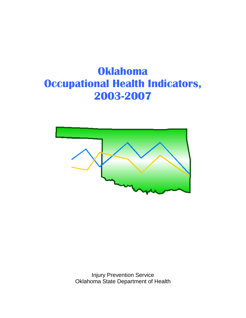# **Oklahoma Occupational Health Indicators, 2003-2007**



Injury Prevention Service Oklahoma State Department of Health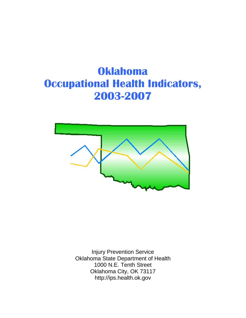# **Oklahoma Occupational Health Indicators, 2003-2007**



Injury Prevention Service Oklahoma State Department of Health 1000 N.E. Tenth Street Oklahoma City, OK 73117 http://ips.health.ok.gov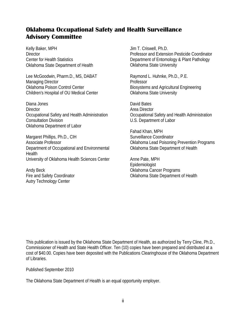# **Oklahoma Occupational Safety and Health Surveillance Advisory Committee**

Kelly Baker, MPH **Director** Center for Health Statistics Oklahoma State Department of Health

Lee McGoodwin, Pharm.D., MS, DABAT Managing Director Oklahoma Poison Control Center Children's Hospital of OU Medical Center

Diana Jones **Director** Occupational Safety and Health Administration Consultation Division Oklahoma Department of Labor

Margaret Phillips, Ph.D., CIH Associate Professor Department of Occupational and Environmental **Health** University of Oklahoma Health Sciences Center

Andy Beck Fire and Safety Coordinator Autry Technology Center

Jim T. Criswell, Ph.D. Professor and Extension Pesticide Coordinator Department of Entomology & Plant Pathology Oklahoma State University

Raymond L. Huhnke, Ph.D., P.E. Professor Biosystems and Agricultural Engineering Oklahoma State University

David Bates Area Director Occupational Safety and Health Administration U.S. Department of Labor

Fahad Khan, MPH Surveillance Coordinator Oklahoma Lead Poisoning Prevention Programs Oklahoma State Department of Health

Anne Pate, MPH Epidemiologist Oklahoma Cancer Programs Oklahoma State Department of Health

This publication is issued by the Oklahoma State Department of Health, as authorized by Terry Cline, Ph.D., Commissioner of Health and State Health Officer. Ten (10) copies have been prepared and distributed at a cost of \$40.00. Copies have been deposited with the Publications Clearinghouse of the Oklahoma Department of Libraries.

Published September 2010

The Oklahoma State Department of Health is an equal opportunity employer.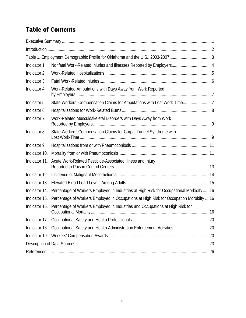# **Table of Contents**

|               | Table 1. Employment Demographic Profile for Oklahoma and the U.S., 2003-20073            |  |
|---------------|------------------------------------------------------------------------------------------|--|
| Indicator 1.  |                                                                                          |  |
| Indicator 2.  |                                                                                          |  |
| Indicator 3.  |                                                                                          |  |
| Indicator 4.  | Work-Related Amputations with Days Away from Work Reported                               |  |
| Indicator 5.  | State Workers' Compensation Claims for Amputations with Lost Work-Time7                  |  |
| Indicator 6.  |                                                                                          |  |
| Indicator 7.  | Work-Related Musculoskeletal Disorders with Days Away from Work                          |  |
| Indicator 8.  | State Workers' Compensation Claims for Carpal Tunnel Syndrome with                       |  |
| Indicator 9.  |                                                                                          |  |
| Indicator 10. |                                                                                          |  |
| Indicator 11. | Acute Work-Related Pesticide-Associated Illness and Injury                               |  |
| Indicator 12. |                                                                                          |  |
| Indicator 13. |                                                                                          |  |
| Indicator 14. | Percentage of Workers Employed in Industries at High Risk for Occupational Morbidity  16 |  |
| Indicator 15. | Percentage of Workers Employed in Occupations at High Risk for Occupation Morbidity  16  |  |
| Indicator 16. | Percentage of Workers Employed in Industries and Occupations at High Risk for            |  |
|               |                                                                                          |  |
| Indicator 18. |                                                                                          |  |
|               |                                                                                          |  |
|               |                                                                                          |  |
| References    |                                                                                          |  |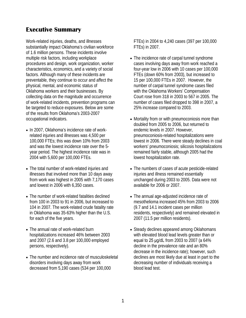# <span id="page-4-0"></span>**Executive Summary**

Work-related injuries, deaths, and illnesses substantially impact Oklahoma's civilian workforce of 1.6 million persons. These incidents involve multiple risk factors, including workplace procedures and design, work organization, worker characteristics, economics, and a variety of social factors. Although many of these incidents are preventable, they continue to occur and affect the physical, mental, and economic status of Oklahoma workers and their businesses. By collecting data on the magnitude and occurrence of work-related incidents, prevention programs can be targeted to reduce exposures. Below are some of the results from Oklahoma's 2003-2007 occupational indicators.

- In 2007, Oklahoma's incidence rate of workrelated injuries and illnesses was 4,500 per 100,000 FTEs; this was down 10% from 2003 and was the lowest incidence rate over the 5 year period. The highest incidence rate was in 2004 with 5,600 per 100,000 FTEs.
- The total number of work-related injuries and illnesses that involved more than 10 days away from work was highest in 2005 with 7,170 cases and lowest in 2006 with 6,350 cases.
- The number of work-related fatalities declined from 100 in 2003 to 91 in 2006, but increased to 104 in 2007. The work-related crude fatality rate in Oklahoma was 35-63% higher than the U.S. for each of the five years.
- The annual rate of work-related burn hospitalizations increased 46% between 2003 and 2007 (2.6 and 3.8 per 100,000 employed persons, respectively).
- The number and incidence rate of musculoskeletal disorders involving days away from work decreased from 5,190 cases (534 per 100,000

FTEs) in 2004 to 4,240 cases (397 per 100,000 FTEs) in 2007.

- The incidence rate of carpal tunnel syndrome cases involving days away from work reached a four-year low in 2006 with 10 cases per 100,000 FTEs (down 60% from 2003), but increased to 15 per 100,000 FTEs in 2007. However, the number of carpal tunnel syndrome cases filed with the Oklahoma Workers' Compensation Court rose from 318 in 2003 to 567 in 2005. The number of cases filed dropped to 398 in 2007, a 25% increase compared to 2003.
- Mortality from or with pneumoconiosis more than doubled from 2005 to 2006, but returned to endemic levels in 2007. However, pneumoconiosis-related hospitalizations were lowest in 2006. There were steady declines in coal workers' pneumoconiosis; silicosis hospitalizations remained fairly stable, although 2005 had the lowest hospitalization rate.
- The numbers of cases of acute pesticide-related injuries and illness remained essentially unchanged during 2003 to 2005. Data were not available for 2006 or 2007.
- The annual age-adjusted incidence rate of mesothelioma increased 45% from 2003 to 2006 (9.7 and 14.1 incident cases per million residents, respectively) and remained elevated in 2007 (11.5 per million residents).
- Steady declines appeared among Oklahomans with elevated blood lead levels greater than or equal to 25 μg/dL from 2003 to 2007 (a 64% decline in the prevalence rate and an 80% decrease in the incidence rate); however, such declines are most likely due at least in part to the decreasing number of individuals receiving a blood lead test.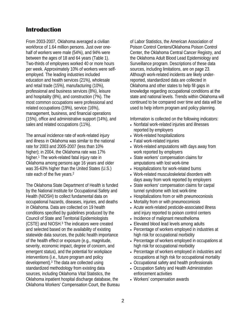# <span id="page-5-0"></span>**Introduction**

From 2003-2007, Oklahoma averaged a civilian workforce of 1.64 million persons. Just over onehalf of workers were male (54%), and 94% were between the ages of 18 and 64 years (Table 1). Two-thirds of employees worked 40 or more hours per week. Approximately 10% of workers were selfemployed. The leading industries included education and health services (21%), wholesale and retail trade (15%), manufacturing (10%), professional and business services (8%), leisure and hospitality (8%), and construction (7%). The most common occupations were professional and related occupations (19%), service (16%), management, business, and financial operations (15%), office and administrative support (14%), and sales and related occupations (11%).

The annual incidence rate of work-related injury and illness in Oklahoma was similar to the national rate for 2003 and 2005-2007 (less than 10% higher); in 2004, the Oklahoma rate was 17% higher.1 The work-related fatal injury rate in Oklahoma among persons age 16 years and older was 35-63% higher than the United States (U.S.) rate each of the five years.<sup>2</sup>

The Oklahoma State Department of Health is funded by the National Institute for Occupational Safety and Health (NIOSH) to collect fundamental data on occupational hazards, diseases, injuries, and deaths in Oklahoma. Data are collected on 19 health conditions specified by guidelines produced by the Council of State and Territorial Epidemiologists (CSTE) and NIOSH.3 The indicators were created and selected based on the availability of existing statewide data sources, the public health importance of the health effect or exposure (e.g., magnitude, severity, economic impact, degree of concern, and emergent status), and the potential for workplace interventions (i.e., future program and policy development).3 The data are collected using standardized methodology from existing data sources, including Oklahoma Vital Statistics, the Oklahoma inpatient hospital discharge database, the Oklahoma Workers' Compensation Court, the Bureau of Labor Statistics, the American Association of Poison Control Centers/Oklahoma Poison Control Center, the Oklahoma Central Cancer Registry, and the Oklahoma Adult Blood Lead Epidemiology and Surveillance program. Descriptions of these data sources, including limitations, are on page 23. Although work-related incidents are likely underreported, standardized data are collected in Oklahoma and other states to help fill gaps in knowledge regarding occupational conditions at the state and national levels. Trends within Oklahoma will continued to be compared over time and data will be used to help inform program and policy planning.

Information is collected on the following indicators:

- Nonfatal work-related injuries and illnesses reported by employers
- Work-related hospitalizations
- Fatal work-related injuries
- Work-related amputations with days away from work reported by employers
- State workers' compensation claims for amputations with lost work-time
- Hospitalizations for work-related burns
- Work-related musculoskeletal disorders with days away from work reported by employers
- State workers' compensation claims for carpal tunnel syndrome with lost work-time
- Hospitalizations from or with pneumoconiosis
- Mortality from or with pneumoconiosis
- Acute work-related pesticide-associated illness and injury reported to poison control centers
- Incidence of malignant mesothelioma
- Elevated blood lead levels among adults
- Percentage of workers employed in industries at high risk for occupational morbidity
- Percentage of workers employed in occupations at high risk for occupational morbidity
- Percentage of workers employed in industries and occupations at high risk for occupational mortality
- Occupational safety and health professionals
- Occupation Safety and Health Administration enforcement activities
- Workers' compensation awards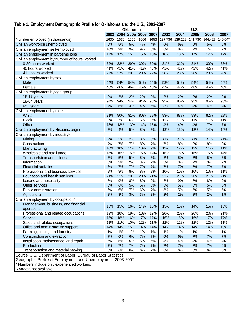# <span id="page-6-0"></span>**Table 1. Employment Demographic Profile for Oklahoma and the U.S., 2003-2007**

|                                                               | Oklahoma |      |      |           | U.S. |         |         |         |         |         |
|---------------------------------------------------------------|----------|------|------|-----------|------|---------|---------|---------|---------|---------|
|                                                               | 2003     | 2004 | 2005 | 2006 2007 |      | 2003    | 2004    | 2005    | 2006    | 2007    |
| Number employed (in thousands)                                | 1600     | 1630 | 1655 | 1666      | 1653 | 137,736 | 139,252 | 141,730 | 144,427 | 146,047 |
| Civilian workforce unemployed                                 | 6%       | 5%   | 5%   | 4%        | 4%   | 6%      | 6%      | 5%      | 5%      | 5%      |
| Civilian employment self-employed                             | 10%      | 9%   | 9%   | 9%        | 8%   | 8%      | 8%      | 7%      | 7%      | 7%      |
| Civilian employment in part-time jobs                         | 17%      | 17%  | 15%  | 15%       | 15%  | 18%     | 18%     | 17%     | 17%     | 17%     |
| Civilian employment by number of hours worked                 |          |      |      |           |      |         |         |         |         |         |
| 0-39 hours worked                                             | 32%      | 32%  | 29%  | 30%       | 30%  | 31%     | 31%     | 31%     | 30%     | 33%     |
| 40 hours worked                                               | 41%      | 41%  | 41%  | 41%       | 43%  | 41%     | 41%     | 42%     | 42%     | 41%     |
| 41+ hours worked                                              | 27%      | 27%  | 30%  | 29%       | 27%  | 28%     | 28%     | 28%     | 28%     | 26%     |
| Civilian employment by sex                                    |          |      |      |           |      |         |         |         |         |         |
| Male                                                          | 54%      | 54%  | 54%  | 54%       | 54%  | 53%     | 54%     | 54%     | 54%     | 54%     |
| Female                                                        | 46%      | 46%  | 46%  | 46%       | 46%  | 47%     | 47%     | 46%     | 46%     | 46%     |
| Civilian employment by age group                              |          |      |      |           |      |         |         |         |         |         |
| 16-17 years                                                   | 2%       | 2%   | 2%   | 2%        | 2%   | 2%      | 2%      | 2%      | 2%      | 2%      |
| 18-64 years                                                   | 94%      | 94%  | 94%  | 94%       | 93%  | 95%     | 95%     | 95%     | 95%     | 95%     |
| 65+ years                                                     | 4%       | 5%   | 4%   | 4%        | 5%   | 3%      | 4%      | 4%      | 4%      | 4%      |
| Civilian employment by race                                   |          |      |      |           |      |         |         |         |         |         |
| White                                                         | 81%      | 80%  | 81%  | 80%       | 79%  | 83%     | 83%     | 83%     | 82%     | 82%     |
| <b>Black</b>                                                  | 6%       | 7%   | 6%   | 6%        | 6%   | 11%     | 11%     | 11%     | 11%     | 11%     |
| Other                                                         | 13%      | 13%  | 13%  | 14%       | 15%  | 4%      | 4%      | 4%      | 7%      | 7%      |
| Civilian employment by Hispanic origin                        | 5%       | 4%   | 5%   | 5%        | 5%   | 13%     | 13%     | 13%     | 14%     | 14%     |
| Civilian employment by industry*                              |          |      |      |           |      |         |         |         |         |         |
| Mining                                                        | 2%       | 2%   | 2%   | 3%        | 3%   | 1%      | $< 1\%$ | $< 1\%$ | $< 1\%$ | $< 1\%$ |
| Construction                                                  | 7%       | 7%   | 7%   | 8%        | 7%   | 7%      | $8%$    | 8%      | 8%      | 8%      |
| Manufacturing                                                 | 10%      | 10%  | 11%  | 10%       | 9%   | 12%     | 12%     | 12%     | 11%     | 11%     |
| Wholesale and retail trade                                    | 15%      | 15%  | 15%  | 16%       | 14%  | 15%     | 15%     | 15%     | 15%     | 14%     |
| <b>Transportation and utilities</b>                           | 5%       | 5%   | 5%   | 5%        | 5%   | 5%      | 5%      | 5%      | 5%      | 5%      |
| Information                                                   | 3%       | 3%   | 2%   | 3%        | 2%   | 3%      | 3%      | 2%      | 3%      | 2%      |
| <b>Financial activities</b>                                   | 6%       | 7%   | 7%   | 7%        | 7%   | 7%      | 7%      | 7%      | 7%      | 7%      |
| Professional and business services                            | 8%       | 8%   | 8%   | 8%        | 8%   | 10%     | 10%     | 10%     | 10%     | 11%     |
| Education and health services                                 | 21%      | 21%  | 20%  | 20%       | 21%  | 21%     | 21%     | 20%     | 21%     | 21%     |
| Leisure and hospitality                                       | 8%       | 9%   | 8%   | 8%        | 9%   | 8%      | 9%      | 8%      | 8%      | 9%      |
| Other services                                                | 6%       | 6%   | 5%   | 5%        | 5%   | 5%      | 5%      | 5%      | 5%      | 5%      |
| Public administration                                         | 6%       | 6%   | 7%   | 6%        | 7%   | 5%      | 5%      | 5%      | 5%      | 5%      |
| Agriculture                                                   | 3%       | 3%   | 3%   | 3%        | 3%   | 2%      | 2%      | 2%      | 2%      | 1%      |
| Civilian employment by occupation*                            |          |      |      |           |      |         |         |         |         |         |
| Management, business, and financial                           |          |      |      |           |      |         |         |         |         |         |
| operations                                                    | 15%      | 15%  | 16%  | 14%       | 15%  | 15%     | 15%     | 14%     | 15%     | 15%     |
| Professional and related occupations                          | 19%      | 18%  | 19%  | 18%       | 19%  | 20%     | 20%     | 20%     | 20%     | 21%     |
| Service                                                       | 15%      | 18%  | 16%  | 17%       | 17%  | 16%     | 16%     | 16%     | 17%     | 17%     |
| Sales and related occupations                                 | 11%      | 11%  | 10%  | 12%       | 11%  | 12%     | 12%     | 12%     | 12%     | 11%     |
| Office and administrative support                             | 14%      | 14%  | 15%  | 14%       | 14%  | 14%     | 14%     | 14%     | 14%     | 13%     |
| Farming, fishing, and forestry                                | 1%       | 1%   | 1%   | 1%        | 1%   | 1%      | 1%      | 1%      | 1%      | $1\%$   |
| Construction and extraction                                   | 7%       | 6%   | 6%   | 7%        | 7%   | 6%      | 6%      | 7%      | 7%      | 7%      |
| Installation, maintenance, and repair                         | 5%       | 5%   | 5%   | 5%        | 5%   | 4%      | 4%      | 4%      | 4%      | 4%      |
| Production                                                    | 7%       | 7%   | 7%   | 7%        | 7%   | 7%      | 7%      | 7%      | 7%      | 6%      |
| Transportation and material moving                            | 6%       | 6%   | 6%   | 6%        | 7%   | 6%      | 6%      | 6%      | 6%      | 6%      |
| Source: U.S. Department of Labor, Bureau of Labor Statistics, |          |      |      |           |      |         |         |         |         |         |

Geographic Profile of Employment and Unemployment, 2003-2007

\* Numbers include only experienced workers.

NA=data not available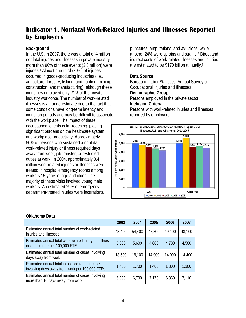# <span id="page-7-0"></span>**Indicator 1. Nonfatal Work-Related Injuries and Illnesses Reported by Employers**

#### **Background**

In the U.S. in 2007, there was a total of 4 million nonfatal injuries and illnesses in private industry; more than 90% of these events (3.8 million) were injuries.4 Almost one-third (30%) of injuries occurred in goods-producing industries (i.e., agriculture, forestry, fishing, and hunting; mining; construction; and manufacturing), although these industries employed only 21% of the private industry workforce. The number of work-related illnesses is an underestimate due to the fact that some conditions have long-term latency and induction periods and may be difficult to associate with the workplace. The impact of these occupational events is far-reaching, placing significant burdens on the healthcare system and workplace productivity. Approximately 50% of persons who sustained a nonfatal work-related injury or illness required days away from work, job transfer, or restricted duties at work. In 2004, approximately 3.4 million work-related injuries or illnesses were treated in hospital emergency rooms among workers 15 years of age and older. The majority of these visits involved young male workers. An estimated 29% of emergency department-treated injuries were lacerations,

punctures, amputations, and avulsions, while another 24% were sprains and strains.5 Direct and indirect costs of work-related illnesses and injuries are estimated to be \$170 billion annually.6

## **Data Source**

Bureau of Labor Statistics, Annual Survey of Occupational Injuries and Illnesses **Demographic Group** Persons employed in the private sector **Inclusion Criteria** Persons with work-related injuries and illnesses reported by employers



|                                                                                                   | 2003   | 2004   | 2005   | 2006   | 2007   |
|---------------------------------------------------------------------------------------------------|--------|--------|--------|--------|--------|
| Estimated annual total number of work-related<br>injuries and illnesses                           | 48,400 | 54,400 | 47,300 | 49,100 | 48,100 |
| Estimated annual total work-related injury and illness<br>incidence rate per 100,000 FTEs         | 5,000  | 5,600  | 4,600  | 4,700  | 4,500  |
| Estimated annual total number of cases involving<br>days away from work                           | 13,500 | 16,100 | 14,000 | 14,000 | 14,400 |
| Estimated annual total incidence rate for cases<br>involving days away from work per 100,000 FTEs | 1,400  | 1,700  | 1,400  | 1,300  | 1,300  |
| Estimated annual total number of cases involving<br>more than 10 days away from work              | 6,990  | 6,790  | 7,170  | 6,350  | 7,110  |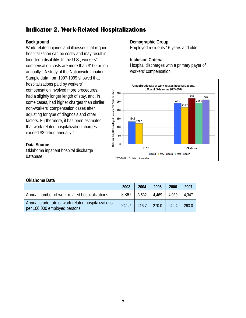# <span id="page-8-0"></span>**Indicator 2. Work-Related Hospitalizations**

# **Background**

Work-related injuries and illnesses that require hospitalization can be costly and may result in long-term disability. In the U.S., workers' compensation costs are more than \$100 billion annually.3 A study of the Nationwide Inpatient Sample data from 1997-1999 showed that hospitalizations paid by workers' compensation involved more procedures, had a slightly longer length of stay, and, in some cases, had higher charges than similar non-workers' compensation cases after adjusting for type of diagnosis and other factors. Furthermore, it has been estimated that work-related hospitalization charges exceed \$3 billion annually.7

# **Data Source**

Oklahoma inpatient hospital discharge database

## **Demographic Group**

Employed residents 16 years and older

## **Inclusion Criteria**

Hospital discharges with a primary payer of workers' compensation



|                                                                                    | 2003  | 2004  | 2005  | 2006  | 2007  |
|------------------------------------------------------------------------------------|-------|-------|-------|-------|-------|
| Annual number of work-related hospitalizations                                     | 3,867 | 3,532 | 4.469 | 4.039 | 4,347 |
| Annual crude rate of work-related hospitalizations<br>per 100,000 employed persons | 241.7 | 216.7 | 270.0 | 242.4 | 263.0 |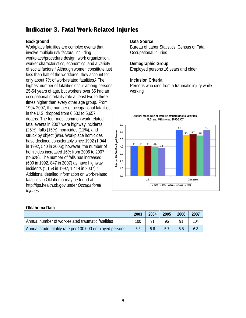# <span id="page-9-0"></span>**Indicator 3. Fatal Work-Related Injuries**

# **Background**

Workplace fatalities are complex events that involve multiple risk factors, including workplace/procedure design, work organization, worker characteristics, economics, and a variety of social factors.3 Although women constitute just less than half of the workforce, they account for only about 7% of work-related fatalities.2 The highest number of fatalities occur among persons 25-54 years of age, but workers over 65 had an occupational mortality rate at least two to three times higher than every other age group. From 1994-2007, the number of occupational fatalities in the U.S. dropped from 6,632 to 5,657 deaths. The four most common work-related fatal events in 2007 were highway incidents (25%), falls (15%), homicides (11%), and struck by object (9%). Workplace homicides have declined considerably since 1992 (1,044 in 1992, 540 in 2006); however, the number of homicides increased 16% from 2006 to 2007 (to 628). The number of falls has increased (600 in 1992, 847 in 2007) as have highway incidents (1,158 in 1992, 1,414 in 2007).2 Additional detailed information on work-related fatalities in Oklahoma may be found at http://ips.health.ok.gov under *Occupational Injuries*.

## **Data Source**

Bureau of Labor Statistics, Census of Fatal Occupational Injuries

## **Demographic Group**

Employed persons 16 years and older

## **Inclusion Criteria**

Persons who died from a traumatic injury while working



|                                                         | 2003 | 2004 | 2005 | 2006 | 2007 |
|---------------------------------------------------------|------|------|------|------|------|
| Annual number of work-related traumatic fatalities      | 100  |      | 95   |      | 104  |
| Annual crude fatality rate per 100,000 employed persons | 6.3  | 5.6  | 5.1  | 5.5  | 6.3  |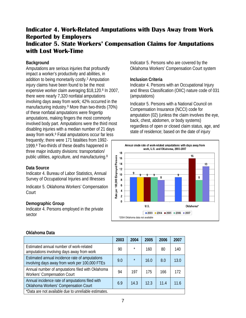# <span id="page-10-1"></span><span id="page-10-0"></span>**Indicator 4. Work-Related Amputations with Days Away from Work Reported by Employers Indicator 5. State Workers' Compensation Claims for Amputations with Lost Work-Time**

# **Background**

Amputations are serious injuries that profoundly impact a worker's productivity and abilities, in addition to being monetarily costly.3 Amputation injury claims have been found to be the most expensive worker claim averaging \$18,120.8 In 2007, there were nearly 7,320 nonfatal amputations involving days away from work; 42% occurred in the manufacturing industry.9 More than two-thirds (70%) of these nonfatal amputations were fingertip amputations, making fingers the most commonly involved body part. Amputations were the third most disabling injuries with a median number of 21 days away from work.9 Fatal amputations occur far less frequently; there were 171 fatalities from 1992- 1999.8 Two-thirds of these deaths happened in three major industry divisions: transportation/ public utilities, agriculture, and manufacturing.8

## **Data Source**

Indicator 4. Bureau of Labor Statistics, Annual Survey of Occupational Injuries and Illnesses

Indicator 5. Oklahoma Workers' Compensation Court

## **Demographic Group**

Indicator 4. Persons employed in the private sector

Indicator 5. Persons who are covered by the Oklahoma Workers' Compensation Court system

#### **Inclusion Criteria**

Indicator 4. Persons with an Occupational Injury and Illness Classification (OIIC) nature code of 031 (amputations)

Indicator 5. Persons with a National Council on Compensation Insurance (NCCI) code for amputation (02) (unless the claim involves the eye, back, chest, abdomen, or body systems) regardless of open or closed claim status, age, and state of residence; based on the date of injury



|                                                                                                  | 2003 | 2004    | 2005 | 2006 | 2007 |
|--------------------------------------------------------------------------------------------------|------|---------|------|------|------|
| Estimated annual number of work-related<br>amputations involving days away from work             | 90   | $\star$ | 160  | 80   | 140  |
| Estimated annual incidence rate of amputations<br>involving days away from work per 100,000 FTEs | 9.0  | $\star$ | 16.0 | 8.0  | 13.0 |
| Annual number of amputations filed with Oklahoma<br>Workers' Compensation Court                  | 94   | 197     | 175  | 166  | 172  |
| Annual incidence rate of amputations filed with<br>Oklahoma Workers' Compensation Court          | 6.9  | 14.3    | 12.3 | 11.4 |      |
| *Data are not available due to unreliable estimates.                                             |      |         |      |      |      |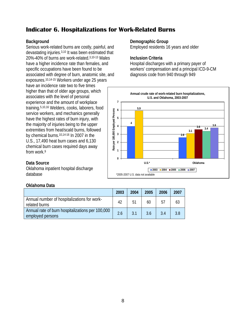# <span id="page-11-0"></span>**Indicator 6. Hospitalizations for Work-Related Burns**

## **Background**

Serious work-related burns are costly, painful, and devastating injuries.3,10 It was been estimated that 20%-40% of burns are work-related.3,10-13 Males have a higher incidence rate than females, and specific occupations have been found to be associated with degree of burn, anatomic site, and exposures.10,14-15 Workers under age 25 years have an incidence rate two to five times higher than that of older age groups, which associates with the level of personal experience and the amount of workplace training.5,10,16 Welders, cooks, laborers, food service workers, and mechanics generally have the highest rates of burn injury, with the majority of injuries being to the upper extremities from heat/scald burns, followed by chemical burns.10,14-16 In 2007 in the U.S., 17,490 heat burn cases and 6,130 chemical burn cases required days away from work.9

#### **Demographic Group**

Employed residents 16 years and older

#### **Inclusion Criteria**

Hospital discharges with a primary payer of workers' compensation and a principal ICD-9-CM diagnosis code from 940 through 949



## **Data Source**

Oklahoma inpatient hospital discharge database

|                                                                      | 2003 | 2004 | 2005 | 2006 | 2007 |
|----------------------------------------------------------------------|------|------|------|------|------|
| Annual number of hospitalizations for work-<br>related burns         | 42   | 51   | 60   | 57   | 63   |
| Annual rate of burn hospitalizations per 100,000<br>employed persons | 2.6  | 3.1  | 3.6  | 3.4  | 3.8  |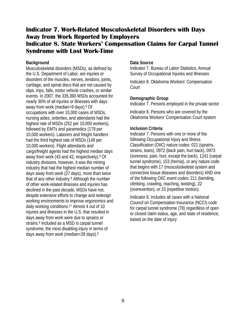# <span id="page-12-1"></span><span id="page-12-0"></span>**Indicator 7. Work-Related Musculoskeletal Disorders with Days Away from Work Reported by Employers Indicator 8. State Workers' Compensation Claims for Carpal Tunnel Syndrome with Lost Work-Time**

#### **Background**

Musculoskeletal disorders (MSDs), as defined by the U.S. Department of Labor, are injuries or disorders of the muscles, nerves, tendons, joints, cartilage, and spinal discs that are not caused by slips, trips, falls, motor vehicle crashes, or similar events. In 2007, the 335,390 MSDs accounted for nearly 30% of all injuries or illnesses with days away from work (median=9 days).9 Of occupations with over 10,000 cases of MSDs, nursing aides, orderlies, and attendants had the highest rate of MSDs (252 per 10,000 workers), followed by EMTs and paramedics (179 per 10,000 workers). Laborers and freight handlers had the third highest rate of MSDs (149 per 10,000 workers). Flight attendants and cargo/freight agents had the highest median days away from work (43 and 42, respectively).<sup>9</sup> Of industry divisions, however, it was the mining industry that had the highest median number of days away from work (27 days), more than twice that of any other industry. <sup>9</sup> Although the number of other work-related illnesses and injuries has declined in the past decade, MSDs have not, despite extensive efforts to change and redesign working environments to improve ergonomics and daily working conditions.17 Almost 4 out of 10 injuries and illnesses in the U.S. that resulted in days away from work were due to sprains or strains.<sup>9</sup> Included as a MSD is carpal tunnel syndrome, the most disabling injury in terms of days away from work (median=28 days).9

#### **Data Source**

Indicator 7. Bureau of Labor Statistics, Annual Survey of Occupational Injuries and Illnesses

Indicator 8. Oklahoma Workers' Compensation Court

## **Demographic Group**

Indicator 7. Persons employed in the private sector

Indicator 8. Persons who are covered by the Oklahoma Workers' Compensation Court system

## **Inclusion Criteria**

Indicator 7. Persons with one or more of the following Occupational Injury and Illness Classification (OIIC) nature codes: 021 (sprains, strains, tears), 0972 (back pain, hurt back), 0973 (soreness, pain, hurt, except the back), 1241 (carpal tunnel syndrome), 153 (hernia), or any nature code that begins with 17 (musculoskeletal system and connective tissue diseases and disorders) AND one of the following OIIC event codes: 211 (bending, climbing, crawling, reaching, twisting), 22 (overexertion), or 23 (repetitive motion).

Indicator 8. Includes all cases with a National Council on Compensation Insurance (NCCI) code for carpal tunnel syndrome (78) regardless of open or closed claim status, age, and state of residence; based on the date of injury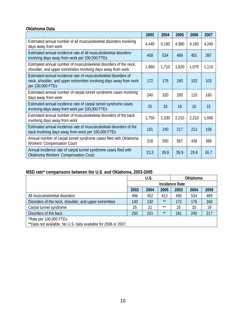# **Oklahoma Data**

|                                                                                                                                                            | 2003  | 2004  | 2005  | 2006  | 2007  |
|------------------------------------------------------------------------------------------------------------------------------------------------------------|-------|-------|-------|-------|-------|
| Estimated annual number of all musculoskeletal disorders involving<br>days away from work                                                                  | 4,440 | 5,190 | 4,980 | 4,160 | 4,240 |
| Estimated annual incidence rate of all musculoskeletal disorders<br>involving days away from work per 100,000 FTEs                                         | 458   | 534   | 489   | 401   | 397   |
| Estimated annual number of musculoskeletal disorders of the neck,<br>shoulder, and upper extremities involving days away from work                         | 1,660 | 1,710 | 1,620 | 1,070 | 1,110 |
| Estimated annual incidence rate of musculoskeletal disorders of<br>neck, shoulder, and upper extremities involving days away from work<br>per 100,000 FTEs | 172   | 176   | 160   | 103   | 103   |
| Estimated annual number of carpal tunnel syndrome cases involving<br>days away from work                                                                   | 240   | 320   | 200   | 110   | 160   |
| Estimated annual incidence rate of carpal tunnel syndrome cases<br>involving days away from work per 100,000 FTEs                                          | 25    | 33    | 19    | 10    | 15    |
| Estimated annual number of musculoskeletal disorders of the back<br>involving days away from work                                                          | 1,750 | 2,330 | 2,210 | 2,210 | 1,690 |
| Estimated annual incidence rate of musculoskeletal disorders of the<br>back involving days away from work per 100,000 FTEs                                 | 181   | 240   | 217   | 213   | 158   |
| Annual number of carpal tunnel syndrome cases filed with Oklahoma<br><b>Workers' Compensation Court</b>                                                    | 318   | 550   | 567   | 436   | 398   |
| Annual incidence rate of carpal tunnel syndrome cases filed with<br>Oklahoma Workers' Compensation Court                                                   | 23.3  | 39.8  | 39.9  | 29.8  | 26.7  |

# **MSD rate\* comparisons between the U.S. and Oklahoma, 2003-2005**

|                                                                                          |                       | U.S. |       | <b>Oklahoma</b> |      |      |
|------------------------------------------------------------------------------------------|-----------------------|------|-------|-----------------|------|------|
|                                                                                          | <b>Incidence Rate</b> |      |       |                 |      |      |
|                                                                                          | 2003                  | 2004 | 2005  | 2003            | 2004 | 2005 |
| All musculoskeletal disorders                                                            | 496                   | 452  | 413   | 458             | 534  | 489  |
| Disorders of the neck, shoulder, and upper extremities                                   | 140                   | 132  | $***$ | 172             | 176  | 160  |
| Carpal tunnel syndrome                                                                   | 25                    | 21   | $***$ | 25              | 33   | 19   |
| Disorders of the back                                                                    | 250                   | 221  | $***$ | 181             | 240  | 217  |
| *Rate per 100,000 FTEs<br>**Data not available. No U.S. data available for 2006 or 2007. |                       |      |       |                 |      |      |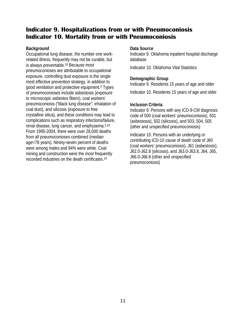# <span id="page-14-1"></span><span id="page-14-0"></span>**Indicator 9. Hospitalizations from or with Pneumoconiosis Indicator 10. Mortality from or with Pneumoconiosis**

## **Background**

Occupational lung disease, the number one workrelated illness, frequently may not be curable, but is always preventable.18 Because most pneumoconioses are attributable to occupational exposure, controlling dust exposure is the single most effective prevention strategy, in addition to good ventilation and protective equipment.3 Types of pneumoconioses include asbestosis (exposure to microscopic asbestos fibers), coal workers' pneumoconiosis ("black lung disease"; inhalation of coal dust), and silicosis (exposure to free crystalline silica), and these conditions may lead to complications such as respiratory infections/failure, renal disease, lung cancer, and emphysema.3,19 From 1995-2004, there were over 28,000 deaths from all pneumoconioses combined (median age=78 years). Ninety-seven percent of deaths were among males and 94% were white. Coal mining and construction were the most frequently recorded industries on the death certificates.19

#### **Data Source**

Indicator 9. Oklahoma inpatient hospital discharge database

Indicator 10. Oklahoma Vital Statistics

# **Demographic Group**

Indicator 9. Residents 15 years of age and older

Indicator 10. Residents 15 years of age and older

# **Inclusion Criteria**

Indicator 9. Persons with any ICD-9-CM diagnosis code of 500 (coal workers' pneumoconiosis), 501 (asbestosis), 502 (silicosis), and 503, 504, 505 (other and unspecified pneumoconiosis)

Indicator 10. Persons with an underlying or contributing ICD-10 cause of death code of J60 (coal workers' pneumoconiosis), J61 (asbestosis), J62.0-J62.8 (silicosis), and J63.0-J63.8, J64, J65, J66.0-J66.8 (other and unspecified pneumoconiosis)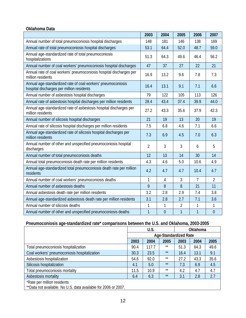# **Oklahoma Data**

|                                                                                                           | 2003           | 2004           | 2005           | 2006           | 2007           |
|-----------------------------------------------------------------------------------------------------------|----------------|----------------|----------------|----------------|----------------|
| Annual number of total pneumoconiosis hospital discharges                                                 | 148            | 181            | 146            | 138            | 169            |
| Annual rate of total pneumoconiosis hospital discharges                                                   | 53.1           | 64.4           | 52.0           | 48.7           | 59.0           |
| Annual age-standardized rate of total pneumoconiosis<br>hospitalizations                                  | 51.3           | 64.3           | 49.6           | 46.4           | 56.2           |
| Annual number of coal workers' pneumoconiosis hospital discharges                                         | 47             | 37             | 27             | 22             | 21             |
| Annual rate of coal workers' pneumoconiosis hospital discharges per<br>million residents                  | 16.9           | 13.2           | 9.6            | 7.8            | 7.3            |
| Annual age-standardized rate of coal workers' pneumoconiosis<br>hospital discharges per million residents | 16.4           | 13.1           | 9.1            | 7.1            | 6.6            |
| Annual number of asbestosis hospital discharges                                                           | 79             | 122            | 105            | 113            | 126            |
| Annual rate of asbestosis hospital discharges per million residents                                       | 28.4           | 43.4           | 37.4           | 39.9           | 44.0           |
| Annual age-standardized rate of asbestosis hospital discharges per<br>million residents                   | 27.2           | 43.3           | 35.6           | 37.9           | 42.3           |
| Annual number of silicosis hospital discharges                                                            | 21             | 19             | 13             | 20             | 19             |
| Annual rate of silicosis hospital discharges per million residents                                        | 7.5            | 6.8            | 4.6            | 7.1            | 6.6            |
| Annual age-standardized rate of silicosis hospital discharges per<br>million residents                    | 7.3            | 6.9            | 4.5            | 7.0            | 6.3            |
| Annual number of other and unspecified pneumoconiosis hospital<br>discharges                              | $\overline{2}$ | 3              | 3              | 6              | 5              |
| Annual number of total pneumoconiosis deaths                                                              | 12             | 13             | 14             | 30             | 14             |
| Annual total pneumoconiosis death rate per million residents                                              | 4.3            | 4.6            | 5.0            | 10.6           | 4.9            |
| Annual age-standardized total pneumoconiosis death rate per million<br>residents                          | 4.2            | 4.7            | 4.7            | 10.4           | 4.7            |
| Annual number of coal workers' pneumoconiosis deaths                                                      | 1              | 4              | 3              | 7              | $\overline{2}$ |
| Annual number of asbestosis deaths                                                                        | 9              | 8              | 8              | 21             | 11             |
| Annual asbestosis death rate per million residents                                                        | 3.2            | 2.8            | 2.9            | 7.4            | 3.8            |
| Annual age-standardized asbestosis death rate per million residents                                       | 3.1            | 2.8            | 2.7            | 7.1            | 3.6            |
| Annual number of silicosis deaths                                                                         | 1              | 1              | $\overline{2}$ | 1              | $\mathbf{1}$   |
| Annual number of other and unspecified pneumoconiosis deaths                                              | 1              | $\overline{0}$ | $\overline{1}$ | $\overline{1}$ | $\overline{0}$ |

# **Pneumoconiosis age-standardized rate\* comparisons between the U.S. and Oklahoma, 2003-2005**

|                                                                |                              | U.S.  |       | Oklahoma |      |      |  |
|----------------------------------------------------------------|------------------------------|-------|-------|----------|------|------|--|
|                                                                | <b>Age-Standardized Rate</b> |       |       |          |      |      |  |
|                                                                | 2003                         | 2004  | 2005  | 2003     | 2004 | 2005 |  |
| Total pneumoconiosis hospitalization                           | 90.4                         | 117.7 | $***$ | 51.3     | 64.3 | 49.6 |  |
| Coal workers' pneumoconiosis hospitalization                   | 30.3                         | 23.5  | $***$ | 16.4     | 13.1 | 9.1  |  |
| Asbestosis hospitalization                                     | 54.6                         | 92.0  | $***$ | 27.2     | 43.3 | 35.6 |  |
| Silicosis hospitalization                                      | 4.1                          | 5.0   | $***$ | 7.3      | 6.9  | 4.5  |  |
| Total pneumoconiosis mortality                                 | 11.5                         | 10.9  | $***$ | 4.2      | 4.7  | 4.7  |  |
| Asbestosis mortality                                           | 6.4                          | 6.3   | $***$ | 3.1      | 2.8  | 2.7  |  |
| *Rate per million residents                                    |                              |       |       |          |      |      |  |
| **Data not available. No U.S. data available for 2006 or 2007. |                              |       |       |          |      |      |  |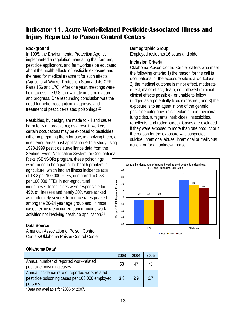# <span id="page-16-0"></span>**Indicator 11. Acute Work-Related Pesticide-Associated Illness and Injury Reported to Poison Control Centers**

# **Background**

In 1995, the Environmental Protection Agency implemented a regulation mandating that farmers, pesticide applicators, and farmworkers be educated about the health effects of pesticide exposure and the need for medical treatment for such effects (Agricultural Worker Protection Standard 40 CFR Parts 156 and 170). After one year, meetings were held across the U.S. to evaluate implementation and progress. One resounding conclusion was the need for better recognition, diagnosis, and treatment of pesticide-related poisonings.20

Pesticides, by design, are made to kill and cause harm to living organisms; as a result, workers in certain occupations may be exposed to pesticides either in preparing them for use, in applying them, or in entering areas post application.20 In a study using 1998-1999 pesticide surveillance data from the Sentinel Event Notification System for Occupational Risks (SENSOR) program, these poisonings were found to be a particular health problem in agriculture, which had an illness incidence rate of 18.2 per 100,000 FTEs, compared to 0.53 per 100,000 FTEs in non-agricultural industries.21 Insecticides were responsible for 49% of illnesses and nearly 30% were ranked as moderately severe. Incidence rates peaked among the 20-24 year age group and, in most cases, exposure occurred during routine work activities not involving pesticide application.21

# **Data Source**

American Association of Poison Control Centers/Oklahoma Poison Control Center

## **Demographic Group**

Employed residents 16 years and older

#### **Inclusion Criteria**

Oklahoma Poison Control Center callers who meet the following criteria: 1) the reason for the call is occupational or the exposure site is a workplace; 2) the medical outcome is minor effect, moderate effect, major effect, death, not followed (minimal clinical effects possible), or unable to follow (judged as a potentially toxic exposure); and 3) the exposure is to an agent in one of the generic pesticide categories (disinfectants, non-medicinal fungicides, fumigants, herbicides, insecticides, repellents, and rodenticides). Cases are excluded if they were exposed to more than one product or if the reason for the exposure was suspected suicide, intentional abuse, intentional or malicious action, or for an unknown reason.



| Oklahoma Data*                                                                                              |      |      |      |
|-------------------------------------------------------------------------------------------------------------|------|------|------|
|                                                                                                             | 2003 | 2004 | 2005 |
| Annual number of reported work-related<br>pesticide poisoning cases                                         | 53   | 47   | 45   |
| Annual incidence rate of reported work-related<br>pesticide poisoning cases per 100,000 employed<br>persons | 3.3  | 29   | 27   |
| *Data not available for 2006 or 2007.                                                                       |      |      |      |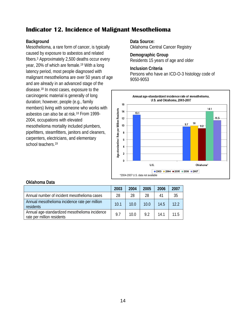# <span id="page-17-0"></span>**Indicator 12. Incidence of Malignant Mesothelioma**

## **Background**

Mesothelioma, a rare form of cancer, is typically caused by exposure to asbestos and related fibers.3 Approximately 2,500 deaths occur every year, 20% of which are female.19 With a long latency period, most people diagnosed with malignant mesothelioma are over 50 years of age and are already in an advanced stage of the disease.18 In most cases, exposure to the carcinogenic material is generally of long duration; however, people (e.g., family members) living with someone who works with asbestos can also be at risk.18 From 1999- 2004, occupations with elevated mesothelioma mortality included plumbers, pipefitters, steamfitters, janitors and cleaners, carpenters, electricians, and elementary school teachers.<sup>19</sup>

**Data Source:**  Oklahoma Central Cancer Registry

**Demographic Group** Residents 15 years of age and older

#### **Inclusion Criteria**

Persons who have an ICD-O-3 histology code of 9050-9053



|                                                                              | 2003 | 2004 | 2005 | 2006 | 2007 |
|------------------------------------------------------------------------------|------|------|------|------|------|
| Annual number of incident mesothelioma cases                                 | 28   | 28   | 28   | 41   | 35   |
| Annual mesothelioma incidence rate per million<br><b>residents</b>           | 10.1 | 10.0 | 10.0 | 14.5 | 122  |
| Annual age-standardized mesothelioma incidence<br>rate per million residents | 9.7  | 10.0 | 9.2  | 141  | 115  |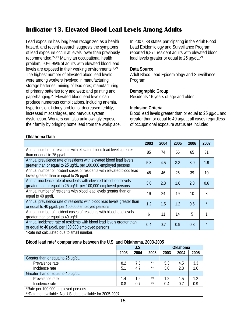# <span id="page-18-0"></span>**Indicator 13. Elevated Blood Lead Levels Among Adults**

Lead exposure has long been recognized as a health hazard, and recent research suggests the symptoms of lead exposure occur at levels lower than previously recommended. 22,23 Mainly an occupational health problem, 90%-95% of adults with elevated blood lead levels are exposed in their working environments.3,23 The highest number of elevated blood lead levels were among workers involved in manufacturing storage batteries; mining of lead ores; manufacturing of primary batteries (dry and wet); and painting and paperhanging.23 Elevated blood lead levels can produce numerous complications, including anemia, hypertension, kidney problems, decreased fertility, increased miscarriages, and nervous system dysfunction. Workers can also unknowingly expose their family by bringing home lead from the workplace. In 2007, 38 states participating in the Adult Blood Lead Epidemiology and Surveillance Program reported 9,871 resident adults with elevated blood lead levels greater or equal to 25 µg/dL.<sup>23</sup>

#### **Data Source**

Adult Blood Lead Epidemiology and Surveillance Program

#### **Demographic Group**

Residents 16 years of age and older

## **Inclusion Criteria**

Blood lead levels greater than or equal to 25 μg/dL and greater than or equal to 40 µg/dL; all cases regardless of occupational exposure status are included.

| Oklahoma Data |  |
|---------------|--|
|---------------|--|

|                                                                                                                                       | 2003 | 2004 | 2005 | 2006 | 2007 |
|---------------------------------------------------------------------------------------------------------------------------------------|------|------|------|------|------|
| Annual number of residents with elevated blood lead levels greater<br>than or equal to 25 µg/dL                                       | 85   | 74   | 55   | 65   | 31   |
| Annual prevalence rate of residents with elevated blood lead levels<br>greater than or equal to 25 µg/dL per 100,000 employed persons | 5.3  | 4.5  | 3.3  | 3.9  | 1.9  |
| Annual number of incident cases of residents with elevated blood lead<br>levels greater than or equal to 25 µg/dL                     | 48   | 46   | 26   | 39   | 10   |
| Annual incidence rate of residents with elevated blood lead levels<br>greater than or equal to 25 µg/dL per 100,000 employed persons  | 3.0  | 2.8  | 1.6  | 2.3  | 0.6  |
| Annual number of residents with blood lead levels greater than or<br>equal to 40 µg/dL                                                | 19   | 24   | 19   | 10   | 3    |
| Annual prevalence rate of residents with blood lead levels greater than<br>or equal to 40 µg/dL per 100,000 employed persons          | 1.2  | 1.5  | 1.2  | 0.6  |      |
| Annual number of incident cases of residents with blood lead levels<br>greater than or equal to 40 µg/dL                              | 6    | 11   | 14   | 5    |      |
| Annual incidence rate of residents with blood lead levels greater than<br>or equal to 40 µg/dL per 100,000 employed persons           | 0.4  | 0.7  | 0.9  | 0.3  |      |
| *Rate not calculated due to small number.                                                                                             |      |      |      |      |      |

#### **Blood lead rate\* comparisons between the U.S. and Oklahoma, 2003-2005**

|                                                             |      | U.S.    |       | <b>Oklahoma</b> |      |      |  |  |  |
|-------------------------------------------------------------|------|---------|-------|-----------------|------|------|--|--|--|
|                                                             | 2003 | 2004    | 2005  | 2003            | 2004 | 2005 |  |  |  |
| Greater than or equal to 25 µg/dL                           |      |         |       |                 |      |      |  |  |  |
| Prevalence rate                                             | 8.2  | 7.5     | $**$  | 5.3             | 4.5  | 3.3  |  |  |  |
| Incidence rate                                              | 5.1  | 4.7     | $**$  | 3.0             | 2.8  | 1.6  |  |  |  |
| Greater than or equal to 40 µg/dL                           |      |         |       |                 |      |      |  |  |  |
| Prevalence rate                                             | 1.4  | $1.2\,$ | $***$ | 1.2             | 1.5  | 1.2  |  |  |  |
| Incidence rate                                              | 0.8  | 0.7     | **    | 0.4             | 0.7  | 0.9  |  |  |  |
| *Rate per 100,000 employed persons                          |      |         |       |                 |      |      |  |  |  |
| **Data not available. No U.S. data available for 2005-2007. |      |         |       |                 |      |      |  |  |  |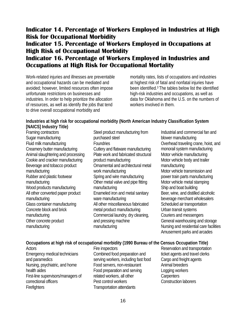# <span id="page-19-1"></span><span id="page-19-0"></span>**Indicator 14. Percentage of Workers Employed in Industries at High Risk for Occupational Morbidity Indicator 15. Percentage of Workers Employed in Occupations at High Risk of Occupational Morbidity Indicator 16. Percentage of Workers Employed in Industries and Occupations at High Risk for Occupational Mortality**

<span id="page-19-2"></span>Work-related injuries and illnesses are preventable and occupational hazards can be mediated and avoided; however, limited resources often impose unfortunate restrictions on businesses and industries. In order to help prioritize the allocation of resources, as well as identify the jobs that tend to drive overall occupational morbidity and

mortality rates, lists of occupations and industries at highest risk of fatal and nonfatal injuries have been identified.3 The tables below list the identified high-risk industries and occupations, as well as data for Oklahoma and the U.S. on the numbers of workers involved in them.

# **Industries at high risk for occupational morbidity (North American Industry Classification System [NAICS] Industry Title)**

Framing contractors Sugar manufacturing Fluid milk manufacturing Creamery butter manufacturing Animal slaughtering and processing Cookie and cracker manufacturing Beverage and tobacco product manufacturing Rubber and plastic footwear manufacturing Wood products manufacturing All other converted paper product manufacturing Glass container manufacturing Concrete block and brick manufacturing Other concrete product manufacturing

Steel product manufacturing from purchased steel **Foundries** Cutlery and flatware manufacturing Plate work and fabricated structural product manufacturing Ornamental and architectural metal work manufacturing Spring and wire manufacturing Other metal valve and pipe fitting manufacturing Enameled iron and metal sanitary ware manufacturing All other miscellaneous fabricated metal product manufacturing Commercial laundry, dry cleaning, and pressing machine manufacturing

Industrial and commercial fan and blower manufacturing Overhead traveling crane, hoist, and monorail system manufacturing Motor vehicle manufacturing Motor vehicle body and trailer manufacturing Motor vehicle transmission and power train parts manufacturing Motor vehicle metal stamping Ship and boat building Beer, wine, and distilled alcoholic beverage merchant wholesalers Scheduled air transportation Urban transit systems Couriers and messengers General warehousing and storage Nursing and residential care facilities Amusement parks and arcades

# **Occupations at high risk of occupational morbidity (1990 Bureau of the Census Occupation Title)**

**Actors** Emergency medical technicians and paramedics Nursing, psychiatric, and home health aides First-line supervisors/managers of correctional officers **Firefighters** 

Fire inspectors Combined food preparation and serving workers, including fast food Food servers, non-restaurant Food preparation and serving related workers, all other Pest control workers Transportation attendants

Reservation and transportation ticket agents and travel clerks Cargo and freight agents Animal breeders Logging workers **Carpenters** Construction laborers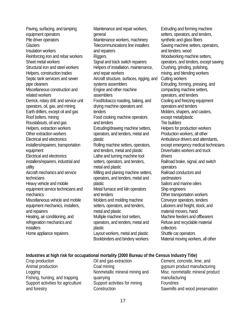Paving, surfacing, and tamping equipment operators Pile driver operators **Glaziers** Insulation workers Reinforcing iron and rebar workers Sheet metal workers Structural iron and steel workers Helpers, construction trades Septic tank servicers and sewer pipe cleaners Miscellaneous construction and related workers Derrick, rotary drill, and service unit operators, oil, gas, and mining Earth drillers, except oil and gas Roof bolters, mining Roustabouts, oil and gas Helpers, extraction workers Other extraction workers Electrical and electronics installers/repairers, transportation equipment Electrical and electronics installers/repairers, industrial and utility Aircraft mechanics and service technicians Heavy vehicle and mobile equipment service technicians and mechanics Miscellaneous vehicle and mobile equipment mechanics, installers, and repairers Heating, air conditioning, and refrigeration mechanics and **installers** Home appliance repairers

Maintenance and repair workers, general Maintenance workers, machinery Telecommunications line installers and repairers **Riggers** Signal and track switch repairers Helpers of installation, maintenance, and repair workers Aircraft structure, surfaces, rigging, and systems assemblers Engine and other machine assemblers Food/tobacco roasting, baking, and drying machine operators and tenders Food cooking machine operators and tenders Extruding/drawing machine setters, operators, and tenders, metal and plastic Rolling machine setters, operators, and tenders, metal and plastic Lathe and turning machine tool setters, operators, and tenders, metal and plastic Milling and planing machine setters, operators, and tenders, metal and plastic Metal furnace and kiln operators and tenders Molders and molding machine setters, operators, and tenders, metal and plastic Multiple machine tool setters, operators, and tenders, metal and plastic Layout workers, metal and plastic Bookbinders and bindery workers

Extruding and forming machine setters, operators, and tenders, synthetic and glass fibers Sawing machine setters, operators, and tenders, wood Woodworking machine setters, operators, and tenders, except sawing Crushing, grinding, polishing, mixing, and blending workers Cutting workers Extruding, forming, pressing, and compacting machine setters, operators, and tenders Cooling and freezing equipment operators and tenders Molders, shapers, and casters, except metal/plastic Tire builders Helpers for production workers Production workers, all other Ambulance drivers and attendants, except emergency medical technicians Driver/sales workers and truck drivers Railroad brake, signal, and switch operators Railroad conductors and yardmasters Sailors and marine oilers Ship engineers Other transportation workers Conveyor operators, tenders Laborers and freight, stock, and material movers, hand Machine feeders and offbearers Refuse and recyclable material collectors Shuttle car operators Material moving workers, all other

## **Industries at high risk for occupational mortality (2000 Bureau of the Census Industry Title)**

Crop production Animal production Logging Fishing, hunting, and trapping Support activities for agriculture and forestry

Oil and gas extraction Coal mining Nonmetallic mineral mining and quarrying Support activities for mining **Construction** 

Cement, concrete, lime, and gypsum product manufacturing Misc. nonmetallic mineral product manufacturing **Foundries** Sawmills and wood preservation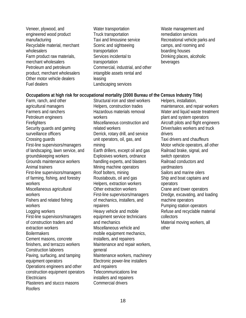- Veneer, plywood, and engineered wood product manufacturing Recyclable material, merchant wholesalers Farm product raw materials, merchant wholesalers Petroleum and petroleum product, merchant wholesalers Other motor vehicle dealers Fuel dealers
- Water transportation Truck transportation Taxi and limousine service Scenic and sightseeing transportation Services incidental to transportation Commercial, industrial, and other intangible assets rental and leasing Landscaping services
- Waste management and remediation services Recreational vehicle parks and camps, and rooming and boarding houses Drinking places, alcoholic beverages

#### **Occupations at high risk for occupational mortality (2000 Bureau of the Census Industry Title)**

Farm, ranch, and other agricultural managers Farmers and ranchers Petroleum engineers **Firefighters** Security guards and gaming surveillance officers Crossing guards First-line supervisors/managers of landscaping, lawn service, and groundskeeping workers Grounds maintenance workers Animal trainers First-line supervisors/managers of farming, fishing, and forestry workers Miscellaneous agricultural workers Fishers and related fishing workers Logging workers First-line supervisors/managers of construction traders and extraction workers **Boilermakers** Cement masons, concrete finishers, and terrazzo workers Construction laborers Paving, surfacing, and tamping equipment operators Operations engineers and other construction equipment operators **Electricians** Plasterers and stucco masons **Roofers** 

Structural iron and steel workers Helpers, construction trades Hazardous materials removal workers Miscellaneous construction and related workers Derrick, rotary drill, and service unit operators, oil, gas, and mining Earth drillers, except oil and gas Explosives workers, ordnance handling experts, and blasters Mining machine operators Roof bolters, mining Roustabouts, oil and gas Helpers, extraction workers Other extraction workers First-line supervisors/managers of mechanics, installers, and repairers Heavy vehicle and mobile equipment service technicians and mechanics Miscellaneous vehicle and mobile equipment mechanics, installers, and repairers Maintenance and repair workers, general Maintenance workers, machinery Electronic power-line installers and repairers Telecommunications line installers and repairers Commercial drivers

Helpers, installation, maintenance, and repair workers Water and liquid waste treatment plant and system operators Aircraft pilots and flight engineers Driver/sales workers and truck drivers Taxi drivers and chauffeurs Motor vehicle operators, all other Railroad brake, signal, and switch operators Railroad conductors and **vardmasters** Sailors and marine oilers Ship and boat captains and operators Crane and tower operators Dredge, excavating, and loading machine operators Pumping station operators Refuse and recyclable material collectors Material moving workers, all other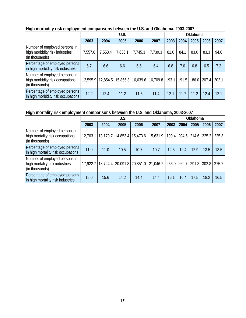| ັ                                                                                  | U.S.    |         |                                           |         |          |       | Oklahoma |       |       |       |  |
|------------------------------------------------------------------------------------|---------|---------|-------------------------------------------|---------|----------|-------|----------|-------|-------|-------|--|
|                                                                                    | 2003    | 2004    | 2005                                      | 2006    | 2007     | 2003  | 2004     | 2005  | 2006  | 2007  |  |
| Number of employed persons in<br>high morbidity risk industries<br>(in thousands)  | 7,557.6 | 7,553.4 | 7,636.1                                   | 7,745.3 | 7,739.3  | 81.0  | 84.1     | 83.0  | 83.3  | 94.6  |  |
| Percentage of employed persons<br>in high morbidity risk industries                | 6.7     | 6.6     | 6.6                                       | 6.5     | 6.4      | 6.8   | 7.0      | 6.8   | 6.5   | 7.2   |  |
| Number of employed persons in<br>high morbidity risk occupations<br>(in thousands) |         |         | 12,595.9   12,854.5   15,855.8   16,639.6 |         | 16,709.8 | 193.1 | 191.5    | 186.0 | 207.4 | 202.1 |  |
| Percentage of employed persons<br>in high morbidity risk occupations               | 12.2    | 12.4    | 11.2                                      | 11.5    | 11.4     | 12.1  | 11.7     | 11.2  | 12.4  | 12.1  |  |

# **High morbidity risk employment comparisons between the U.S. and Oklahoma, 2003-2007**

# **High mortality risk employment comparisons between the U.S. and Oklahoma, 2003-2007**

|                                                                                    | U.S.     |          |                                |                   |          |      | Oklahoma |                         |       |       |  |
|------------------------------------------------------------------------------------|----------|----------|--------------------------------|-------------------|----------|------|----------|-------------------------|-------|-------|--|
|                                                                                    | 2003     | 2004     | 2005                           | 2006              | 2007     | 2003 | 2004     | 2005                    | 2006  | 2007  |  |
| Number of employed persons in<br>high mortality risk occupations<br>(in thousands) | 12,763.1 | 13,170.7 |                                | 14,853.4 15,473.6 | 15,631.9 |      |          | $199.4$   204.5   214.6 | 225.2 | 225.3 |  |
| Percentage of employed persons<br>in high mortality risk occupations               | 11.0     | 11.0     | 10.5                           | 10.7              | 10.7     | 12.5 | 12.4     | 12.9                    | 13.5  | 13.5  |  |
| Number of employed persons in<br>high mortality risk industries<br>(in thousands)  | 17.922.7 |          | 18,724.4   20,091.8   20,851.0 |                   | 21,046.7 |      |          | 256.0 269.7 291.3       | 302.8 | 275.7 |  |
| Percentage of employed persons<br>in high mortality risk industries                | 15.0     | 15.6     | 14.2                           | 14.4              | 14.4     | 16.1 | 16.4     | 17.5                    | 18.2  | 16.5  |  |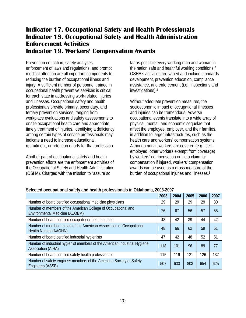# <span id="page-23-1"></span><span id="page-23-0"></span>**Indicator 17. Occupational Safety and Health Professionals Indicator 18. Occupational Safety and Health Administration Enforcement Activities Indicator 19. Workers' Compensation Awards**

<span id="page-23-2"></span>Prevention education, safety analyses, enforcement of laws and regulations, and prompt medical attention are all important components to reducing the burden of occupational illness and injury. A sufficient number of personnel trained in occupational health preventive services is critical for each state in addressing work-related injuries and illnesses. Occupational safety and health professionals provide primary, secondary, and tertiary prevention services, ranging from workplace evaluations and safety assessments to onsite occupational health care and appropriate, timely treatment of injuries. Identifying a deficiency among certain types of service professionals may indicate a need to increase educational, recruitment, or retention efforts for that profession.

Another part of occupational safety and health prevention efforts are the enforcement activities of the Occupational Safety and Health Administration (OSHA). Charged with the mission to "assure so

far as possible every working man and woman in the nation safe and healthful working conditions," OSHA's activities are varied and include standards development, prevention education, compliance assistance, and enforcement (i.e., inspections and investigations).3

Without adequate prevention measures, the socioeconomic impact of occupational illnesses and injuries can be tremendous. Adverse occupational events translate into a wide array of physical, mental, and economic sequelae that affect the employee, employer, and their families, in addition to larger infrastructures, such as the health care and workers' compensation systems. Although not all workers are covered (e.g., selfemployed, other workers exempt from coverage) by workers' compensation or file a claim for compensation if injured, workers' compensation awards can be used as a gross measure of the burden of occupational injuries and illnesses.3

| Selected occupational safety and health professionals in Oklahoma, 2003-2007 |
|------------------------------------------------------------------------------|
|------------------------------------------------------------------------------|

|                                                                                                        | 2003 | 2004 | 2005 | 2006 | 2007 |
|--------------------------------------------------------------------------------------------------------|------|------|------|------|------|
| Number of board certified occupational medicine physicians                                             | 29   | 29   | 29   | 29   | 30   |
| Number of members of the American College of Occupational and<br>Environmental Medicine (ACOEM)        | 76   | 67   | 56   | 57   | 55   |
| Number of board certified occupational health nurses                                                   | 43   | 42   | 39   | 44   | 42   |
| Number of member nurses of the American Association of Occupational<br>Health Nurses (AAOHN)           | 48   | 66   | 62   | 59   | 51   |
| Number of board certified industrial hygienists                                                        | 47   | 42   | 48   | 52   | 51   |
| Number of industrial hygienist members of the American Industrial Hygiene<br><b>Association (AIHA)</b> | 118  | 101  | 96   | 89   | 77   |
| Number of board certified safety health professionals                                                  | 115  | 119  | 121  | 126  | 137  |
| Number of safety engineer members of the American Society of Safety<br>Engineers (ASSE)                | 507  | 633  | 803  | 654  | 625  |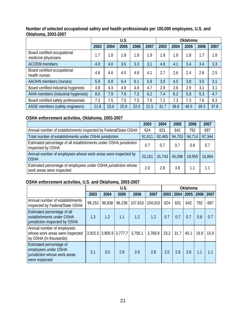|                                                     | U.S. |      |      |      |      | Oklahoma |      |      |      |      |
|-----------------------------------------------------|------|------|------|------|------|----------|------|------|------|------|
|                                                     | 2003 | 2004 | 2005 | 2006 | 2007 | 2003     | 2004 | 2005 | 2006 | 2007 |
| Board certified occupational<br>medicine physicians | 1.7  | 1.8  | 1.8  | 1.8  | 1.9  | 1.8      | 1.8  | 1.8  | 1.7  | 1.8  |
| <b>ACOEM</b> members                                | 4.0  | 4.0  | 3.5  | 3.3  | 3.1  | 4.8      | 4.1  | 3.4  | 3.4  | 3.3  |
| Board certified occupational<br>health nurses       | 4.6  | 4.6  | 4.5  | 4.8  | 4.1  | 2.7      | 2.6  | 2.4  | 2.6  | 2.5  |
| <b>AAOHN</b> members (nurses)                       | 5.9  | 6.8  | 6.4  | 6.1  | 5.8  | 3.0      | 4.0  | 3.8  | 3.5  | 3.1  |
| Board certified industrial hygienists               | 4.9  | 4.3  | 4.9  | 4.8  | 4.7  | 2.9      | 2.6  | 2.9  | 3.1  | 3.1  |
| AIHA members (industrial hygienists)                | 8.0  | 7.9  | 7.6  | 7.2  | 6.2  | 7.4      | 6.2  | 5.8  | 5.3  | 4.7  |
| Board certified safety professionals                | 7.3  | 7.5  | 7.5  | 7.5  | 7.6  | 7.2      | 7.3  | 7.3  | 7.6  | 8.3  |
| ASSE members (safety engineers)                     | 21.8 | 23.6 | 25.9 | 22.0 | 21.5 | 31.7     | 38.8 | 48.5 | 39.3 | 37.8 |

## **Number of selected occupational safety and health professionals per 100,000 employees, U.S. and Oklahoma, 2003-2007**

# **OSHA enforcement activities, Oklahoma, 2003-2007**

|                                                                                              | 2003   | 2004   | 2005   | 2006   | 2007   |
|----------------------------------------------------------------------------------------------|--------|--------|--------|--------|--------|
| Annual number of establishments inspected by Federal/State OSHA                              | 624    | 631    | 642    | 792    | 697    |
| Total number of establishments under OSHA jurisdiction                                       | 91,611 | 92,465 | 94,703 | 94,714 | 97,344 |
| Estimated percentage of all establishments under OSHA jurisdiction<br>inspected by OSHA      | 0.7    | 0.7    | 0.7    | 0.8    | 0.7    |
| Annual number of employees whose work areas were inspected by<br><b>OSHA</b>                 | 23,161 | 31,743 | 45,096 | 19.955 | 15,864 |
| Estimated percentage of employees under OSHA jurisdiction whose<br>work areas were inspected | 2.0    | 2.8    | 3.8    | 1.1    | 1.1    |

# **OSHA enforcement activities, U.S. and Oklahoma, 2003-2007**

|                                                                                                    | U.S.   |                           |        |         |         |      | Oklahoma    |      |      |      |  |
|----------------------------------------------------------------------------------------------------|--------|---------------------------|--------|---------|---------|------|-------------|------|------|------|--|
|                                                                                                    | 2003   | 2004                      | 2005   | 2006    | 2007    |      | 2003   2004 | 2005 | 2006 | 2007 |  |
| Annual number of establishments<br>inspected by Federal/State OSHA                                 | 99,153 | 96,838                    | 96,238 | 107,610 | 104,010 | 624  | 631         | 642  | 792  | 697  |  |
| Estimated percentage of all<br>establishments under OSHA<br>jurisdiction inspected by OSHA         | 1.3    | 1.2                       | 1.1    | 1.2     | 1.2     | 0.7  | 0.7         | 0.7  | 0.8  | 0.7  |  |
| Annual number of employees<br>whose work areas were inspected<br>by OSHA (in thousands)            |        | $3,915.5$ 3,905.9 3,777.7 |        | 3,756.1 | 3,769.9 | 23.2 | 31.7        | 45.1 | 19.9 | 15.9 |  |
| Estimated percentage of<br>employees under OSHA<br>jurisdiction whose work areas<br>were inspected | 3.1    | 3.0                       | 2.9    | 2.8     | 2.8     | 2.0  | 2.8         | 3.8  | 1.1  | 1.1  |  |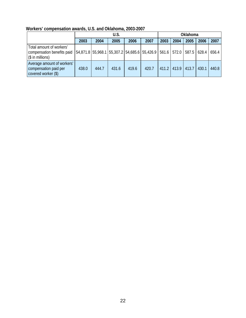| Workers' compensation awards, U.S. and Oklahoma, 2003-2007 |  |  |  |
|------------------------------------------------------------|--|--|--|
|------------------------------------------------------------|--|--|--|

|                                                                              | U.S.  |       |       |       |                                                                      | Oklahoma |       |             |             |       |
|------------------------------------------------------------------------------|-------|-------|-------|-------|----------------------------------------------------------------------|----------|-------|-------------|-------------|-------|
|                                                                              | 2003  | 2004  | 2005  | 2006  | 2007                                                                 | 2003     | 2004  | 2005        | 2006        | 2007  |
| Total amount of workers'<br>compensation benefits paid<br>$(\$$ in millions) |       |       |       |       | 54,871.8   55,968.1   55,307.2   54,685.6   55,426.9   561.6   572.0 |          |       |             | 587.5 628.4 | 656.4 |
| Average amount of workers'<br>compensation paid per<br>covered worker (\$)   | 438.0 | 444.7 | 431.6 | 419.6 | 420.7                                                                | 411.2    | 413.9 | 413.7 430.1 |             | 440.8 |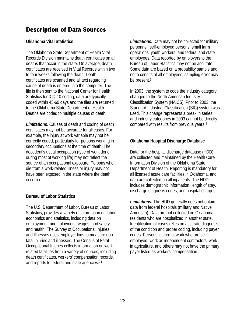# <span id="page-26-0"></span>**Description of Data Sources**

## **Oklahoma Vital Statistics**

The Oklahoma State Department of Health Vital Records Division maintains death certificates on all deaths that occur in the state. On average, death certificates are received in Vital Records within two to four weeks following the death. Death certificates are scanned and all text regarding cause of death is entered into the computer. The file is then sent to the National Center for Health Statistics for ICD-10 coding; data are typically coded within 45-60 days and the files are returned to the Oklahoma State Department of Health. Deaths are coded to multiple causes of death.

*Limitations***.** Causes of death and coding of death certificates may not be accurate for all cases. For example, the injury at work variable may not be correctly coded, particularly for persons working in secondary occupations at the time of death. The decedent's usual occupation (type of work done during most of working life) may not reflect the source of an occupational exposure. Persons who die from a work-related illness or injury may not have been exposed in the state where the death occurred.

# **Bureau of Labor Statistics**

The U.S. Department of Labor, Bureau of Labor Statistics, provides a variety of information on labor economics and statistics, including data on employment, unemployment, wages, and safety and health. The Survey of Occupational Injuries and Illnesses uses employer logs to measure nonfatal injuries and illnesses. The Census of Fatal Occupational Injuries collects information on workrelated fatalities from a variety of sources, including death certificates, workers' compensation records, and reports to federal and state agencies.24

*Limitations***.** Data may not be collected for military personnel, self-employed persons, small farm operations, youth workers, and federal and state employees. Data reported by employers to the Bureau of Labor Statistics may not be accurate. Some data are based on a probability sample and not a census of all employees; sampling error may be present.3

In 2003, the system to code the industry category changed to the North American Industry Classification System (NAICS). Prior to 2003, the Standard Industrial Classification (SIC) system was used. This change represents a break in series, and industry categories in 2003 cannot be directly compared with results from previous years.4

# **Oklahoma Hospital Discharge Database**

Data for the hospital discharge database (HDD) are collected and maintained by the Health Care Information Division of the Oklahoma State Department of Health. Reporting is mandatory for all licensed acute care facilities in Oklahoma, and data are collected on all inpatients. The HDD includes demographic information, length of stay, discharge diagnosis codes, and hospital charges.

*Limitations***.** The HDD generally does not obtain data from federal hospitals (military and Native American). Data are not collected on Oklahoma residents who are hospitalized in another state. Identification of cases relies on accurate diagnosis of the condition and proper coding, including payer codes. Persons injured at work who are selfemployed, work as independent contractors, work in agriculture, and others may not have the primary payer listed as workers' compensation.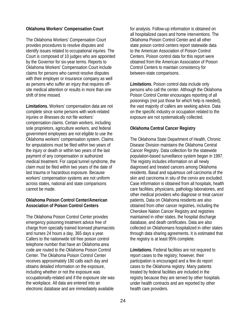# **Oklahoma Workers' Compensation Court**

The Oklahoma Workers' Compensation Court provides procedures to resolve disputes and identify issues related to occupational injuries. The Court is composed of 10 judges who are appointed by the Governor for six-year terms. Reports to Oklahoma Workers' Compensation Court include claims for persons who cannot resolve disputes with their employer or insurance company as well as persons who suffer an injury that requires offsite medical attention or results in more than one shift of time missed.

*Limitations***.** Workers' compensation data are not complete since some persons with work-related injuries or illnesses do not file workers' compensation claims. Certain workers, including sole proprietors, agriculture workers, and federal government employees are not eligible to use the Oklahoma workers' compensation system. Claims for amputations must be filed within two years of the injury or death or within two years of the last payment of any compensation or authorized medical treatment. For carpal tunnel syndrome, the claim must be filed within two years of the date of last trauma or hazardous exposure. Because workers' compensation systems are not uniform across states, national and state comparisons cannot be made.

# **Oklahoma Poison Control Center/American Association of Poison Control Centers**

The Oklahoma Poison Control Center provides emergency poisoning treatment advice free of charge from specially trained licensed pharmacists and nurses 24 hours a day, 365 days a year. Callers to the nationwide toll free poison control telephone number that have an Oklahoma area code are routed to the Oklahoma Poison Control Center. The Oklahoma Poison Control Center receives approximately 180 calls each day and obtains detailed information on the exposure, including whether or not the exposure was occupationally-related and if the exposure site was the workplace. All data are entered into an electronic database and are immediately available

for analysis. Follow-up information is obtained on all hospitalized cases and home interventions. The Oklahoma Poison Control Center and all other state poison control centers report statewide data to the American Association of Poison Control Centers. Poison control data for this report were obtained from the American Association of Poison Control Centers to maintain consistency for between-state comparisons.

*Limitations***.** Poison control data include only persons who call the center. Although the Oklahoma Poison Control Center encourages reporting of all poisonings (not just those for which help is needed), the vast majority of callers are seeking advice. Data on the specific industry or occupation related to the exposure are not systematically collected.

# **Oklahoma Central Cancer Registry**

The Oklahoma State Department of Health, Chronic Disease Division maintains the Oklahoma Central Cancer Registry. Data collection for the statewide population-based surveillance system began in 1997. The registry includes information on all newly diagnosed and treated cancers among Oklahoma residents. Basal and squamous cell carcinoma of the skin and carcinoma in situ of the cervix are excluded. Case information is obtained from all hospitals, health care facilities, physicians, pathology laboratories, and other medical providers who diagnose or treat cancer patients. Data on Oklahoma residents are also obtained from other cancer registries, including the Cherokee Nation Cancer Registry and registries maintained in other states, the hospital discharge database, and death certificates. Data are also collected on Oklahomans hospitalized in other states through data sharing agreements. It is estimated that the registry is at least 95% complete.

*Limitations***.** Federal facilities are not required to report cases to the registry; however, their participation is encouraged and a few do report cases to the Oklahoma registry. Many patients treated by federal facilities are included in the registry because they are served by other hospitals under health contracts and are reported by other health care providers.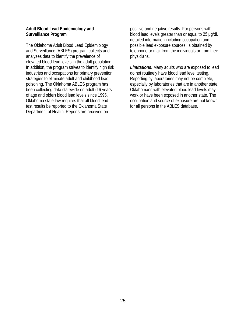## **Adult Blood Lead Epidemiology and Surveillance Program**

The Oklahoma Adult Blood Lead Epidemiology and Surveillance (ABLES) program collects and analyzes data to identify the prevalence of elevated blood lead levels in the adult population. In addition, the program strives to identify high risk industries and occupations for primary prevention strategies to eliminate adult and childhood lead poisoning. The Oklahoma ABLES program has been collecting data statewide on adult (16 years of age and older) blood lead levels since 1995. Oklahoma state law requires that all blood lead test results be reported to the Oklahoma State Department of Health. Reports are received on

positive and negative results. For persons with blood lead levels greater than or equal to 25 μg/dL, detailed information including occupation and possible lead exposure sources, is obtained by telephone or mail from the individuals or from their physicians.

*Limitations***.** Many adults who are exposed to lead do not routinely have blood lead level testing. Reporting by laboratories may not be complete, especially by laboratories that are in another state. Oklahomans with elevated blood lead levels may work or have been exposed in another state. The occupation and source of exposure are not known for all persons in the ABLES database.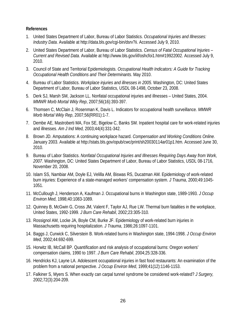## <span id="page-29-0"></span>**References**

- 1. United States Department of Labor, Bureau of Labor Statistics. *Occupational Injuries and Illnesses: Industry Data*. Available at http://data.bls.gov/cgi-bin/dsrv?ii. Accessed July 9, 2010.
- 2. United States Department of Labor, Bureau of Labor Statistics. *Census of Fatal Occupational Injuries Current and Revised Data*. Available at http://www.bls.gov/iif/oshcfoi1.htm#19922002. Accessed July 9, 2010.
- 3. Council of State and Territorial Epidemiologists. *Occupational Health Indicators: A Guide for Tracking Occupational Health Conditions and Their Determinants*. May 2010.
- 4. Bureau of Labor Statistics. *Workplace injuries and illnesses in 2005*. Washington, DC: United States Department of Labor, Bureau of Labor Statistics, USDL 08-1498, October 23, 2008.
- 5. Derk SJ, Marsh SM, Jackson LL. Nonfatal occupational injuries and illnesses United States, 2004. *MMWR Morb Mortal Wkly Rep*, 2007;56(16):393-397.
- 6. Thomsen C, McClain J, Rosenman K, Davis L. Indicators for occupational health surveillance. *MMWR Morb Mortal Wkly Rep*, 2007;56(RR01):1-7.
- 7. Dembe AE, Mastroberti MA, Fox SE, Bigelow C, Banks SM. Inpatient hospital care for work-related injuries and illnesses. *Am J Ind Med,* 2003;44(4):331-342.
- 8. Brown JD. Amputations: A continuing workplace hazard. *Compensation and Working Conditions Online.* January 2003. Available at http://stats.bls.gov/opub/cwc/print/sh20030114ar01p1.htm. Accessed June 30, 2010.
- 9. Bureau of Labor Statistics. *Nonfatal Occupational Injuries and Illnesses Requiring Days Away from Work, 2007*. Washington, DC: United States Department of Labor, Bureau of Labor Statistics, USDL 08-1716, November 20, 2008.
- 10. Islam SS, Nambiar AM, Doyle EJ, Velilla AM, Biswas RS, Ducatman AM. Epidemiology of work-related burn injuries: Experience of a state-managed workers' compensation system. *J Trauma*, 2000;49:1045- 1051.
- 11. McCullough J, Henderson A, Kaufman J. Occupational burns in Washington state, 1989-1993. *J Occup Environ Med*, 1998;40:1083-1089.
- 12. Quinney B, McGwin G, Cross JM, Valent F, Taylor AJ, Rue LW. Thermal burn fatalities in the workplace, United States, 1992-1999. *J Burn Care Rehabil*, 2002;23:305-310.
- 13. Rossignol AM, Locke JA, Boyle CM, Burke JF. Epidemiology of work-related burn injuries in Massachusetts requiring hospitalization. *J Trauma*, 1986;26:1097-1101.
- 14. Baggs J, Curwick C, Silverstein B. Work-related burns in Washington state, 1994-1998. *J Occup Environ Med*, 2002;44:692-699.
- 15. Horwitz IB, McCall BP. Quantification and risk analysis of occupational burns: Oregon workers' compensation claims, 1990 to 1997. *J Burn Care Rehabil*, 2004;25:328-336.
- 16. Hendricks KJ, Layne LA. Adolescent occupational injuries in fast food restaurants: An examination of the problem from a national perspective. *J Occup Environ Med*, 1999;41(12):1146-1153.
- 17. Falkiner S, Myers S. When exactly can carpal tunnel syndrome be considered work-related? *J Surgery,* 2002;72(3):204-209.